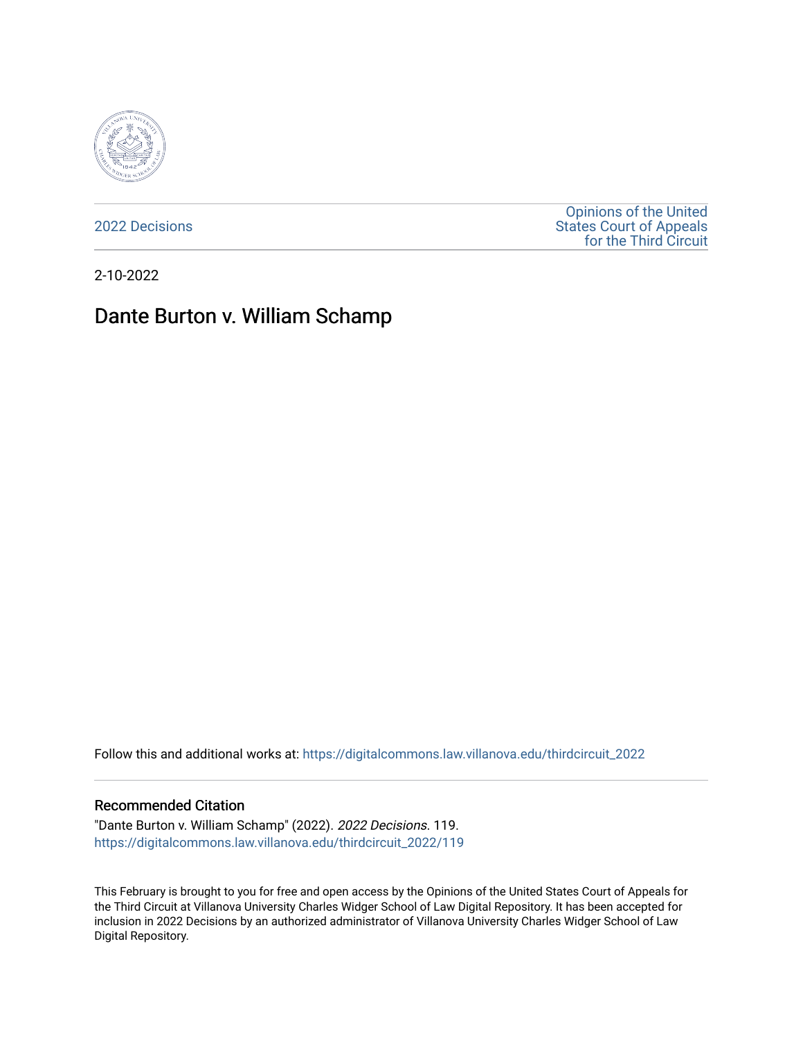

[2022 Decisions](https://digitalcommons.law.villanova.edu/thirdcircuit_2022)

[Opinions of the United](https://digitalcommons.law.villanova.edu/thirdcircuit)  [States Court of Appeals](https://digitalcommons.law.villanova.edu/thirdcircuit)  [for the Third Circuit](https://digitalcommons.law.villanova.edu/thirdcircuit) 

2-10-2022

# Dante Burton v. William Schamp

Follow this and additional works at: [https://digitalcommons.law.villanova.edu/thirdcircuit\\_2022](https://digitalcommons.law.villanova.edu/thirdcircuit_2022?utm_source=digitalcommons.law.villanova.edu%2Fthirdcircuit_2022%2F119&utm_medium=PDF&utm_campaign=PDFCoverPages) 

#### Recommended Citation

"Dante Burton v. William Schamp" (2022). 2022 Decisions. 119. [https://digitalcommons.law.villanova.edu/thirdcircuit\\_2022/119](https://digitalcommons.law.villanova.edu/thirdcircuit_2022/119?utm_source=digitalcommons.law.villanova.edu%2Fthirdcircuit_2022%2F119&utm_medium=PDF&utm_campaign=PDFCoverPages)

This February is brought to you for free and open access by the Opinions of the United States Court of Appeals for the Third Circuit at Villanova University Charles Widger School of Law Digital Repository. It has been accepted for inclusion in 2022 Decisions by an authorized administrator of Villanova University Charles Widger School of Law Digital Repository.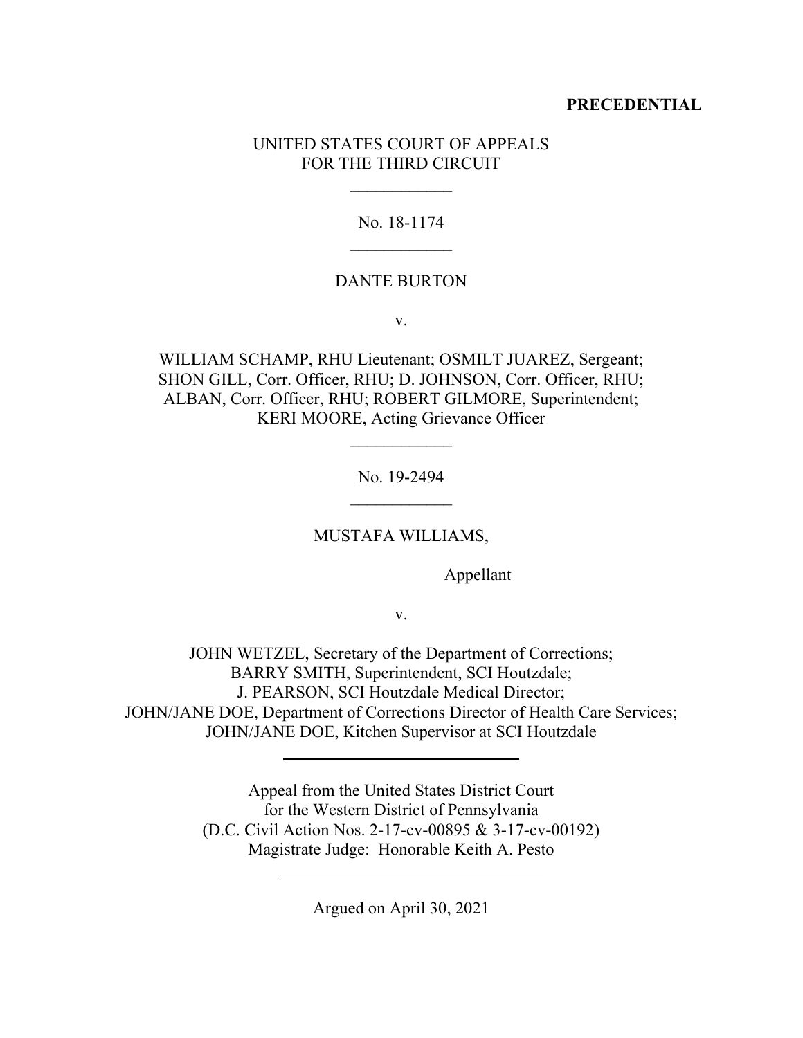## **PRECEDENTIAL**

## UNITED STATES COURT OF APPEALS FOR THE THIRD CIRCUIT

### No. 18-1174

#### DANTE BURTON

v.

WILLIAM SCHAMP, RHU Lieutenant; OSMILT JUAREZ, Sergeant; SHON GILL, Corr. Officer, RHU; D. JOHNSON, Corr. Officer, RHU; ALBAN, Corr. Officer, RHU; ROBERT GILMORE, Superintendent; KERI MOORE, Acting Grievance Officer

No. 19-2494

MUSTAFA WILLIAMS,

Appellant

v.

JOHN WETZEL, Secretary of the Department of Corrections; BARRY SMITH, Superintendent, SCI Houtzdale; J. PEARSON, SCI Houtzdale Medical Director; JOHN/JANE DOE, Department of Corrections Director of Health Care Services; JOHN/JANE DOE, Kitchen Supervisor at SCI Houtzdale

> Appeal from the United States District Court for the Western District of Pennsylvania (D.C. Civil Action Nos. 2-17-cv-00895 & 3-17-cv-00192) Magistrate Judge: Honorable Keith A. Pesto

> > Argued on April 30, 2021